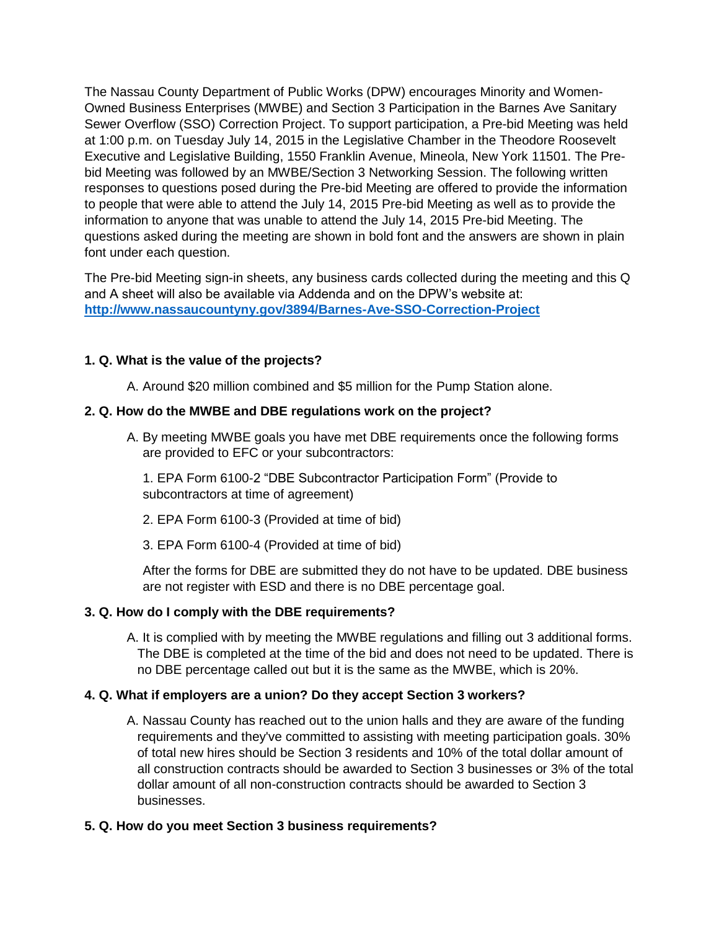The Nassau County Department of Public Works (DPW) encourages Minority and Women-Owned Business Enterprises (MWBE) and Section 3 Participation in the Barnes Ave Sanitary Sewer Overflow (SSO) Correction Project. To support participation, a Pre-bid Meeting was held at 1:00 p.m. on Tuesday July 14, 2015 in the Legislative Chamber in the Theodore Roosevelt Executive and Legislative Building, 1550 Franklin Avenue, Mineola, New York 11501. The Prebid Meeting was followed by an MWBE/Section 3 Networking Session. The following written responses to questions posed during the Pre-bid Meeting are offered to provide the information to people that were able to attend the July 14, 2015 Pre-bid Meeting as well as to provide the information to anyone that was unable to attend the July 14, 2015 Pre-bid Meeting. The questions asked during the meeting are shown in bold font and the answers are shown in plain font under each question.

The Pre-bid Meeting sign-in sheets, any business cards collected during the meeting and this Q and A sheet will also be available via Addenda and on the DPW's website at: **<http://www.nassaucountyny.gov/3894/Barnes-Ave-SSO-Correction-Project>**

# **1. Q. What is the value of the projects?**

A. Around \$20 million combined and \$5 million for the Pump Station alone.

# **2. Q. How do the MWBE and DBE regulations work on the project?**

A. By meeting MWBE goals you have met DBE requirements once the following forms are provided to EFC or your subcontractors:

1. EPA Form 6100-2 "DBE Subcontractor Participation Form" (Provide to subcontractors at time of agreement)

- 2. EPA Form 6100-3 (Provided at time of bid)
- 3. EPA Form 6100-4 (Provided at time of bid)

After the forms for DBE are submitted they do not have to be updated. DBE business are not register with ESD and there is no DBE percentage goal.

## **3. Q. How do I comply with the DBE requirements?**

A. It is complied with by meeting the MWBE regulations and filling out 3 additional forms. The DBE is completed at the time of the bid and does not need to be updated. There is no DBE percentage called out but it is the same as the MWBE, which is 20%.

## **4. Q. What if employers are a union? Do they accept Section 3 workers?**

A. Nassau County has reached out to the union halls and they are aware of the funding requirements and they've committed to assisting with meeting participation goals. 30% of total new hires should be Section 3 residents and 10% of the total dollar amount of all construction contracts should be awarded to Section 3 businesses or 3% of the total dollar amount of all non-construction contracts should be awarded to Section 3 businesses.

## **5. Q. How do you meet Section 3 business requirements?**